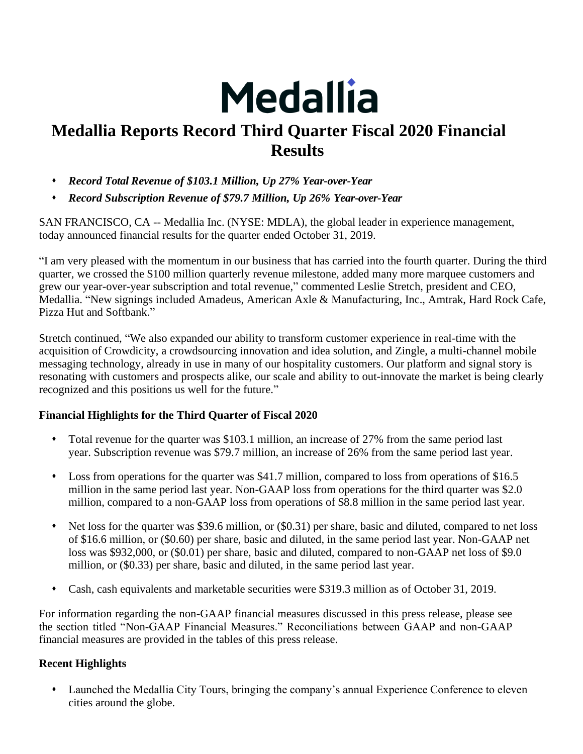

# **Medallia Reports Record Third Quarter Fiscal 2020 Financial Results**

- ⬧ *Record Total Revenue of \$103.1 Million, Up 27% Year-over-Year*
- ⬧ *Record Subscription Revenue of \$79.7 Million, Up 26% Year-over-Year*

SAN FRANCISCO, CA -- Medallia Inc. (NYSE: MDLA), the global leader in experience management, today announced financial results for the quarter ended October 31, 2019.

"I am very pleased with the momentum in our business that has carried into the fourth quarter. During the third quarter, we crossed the \$100 million quarterly revenue milestone, added many more marquee customers and grew our year-over-year subscription and total revenue," commented Leslie Stretch, president and CEO, Medallia. "New signings included Amadeus, American Axle & Manufacturing, Inc., Amtrak, Hard Rock Cafe, Pizza Hut and Softbank."

Stretch continued, "We also expanded our ability to transform customer experience in real-time with the acquisition of Crowdicity, a crowdsourcing innovation and idea solution, and Zingle, a multi-channel mobile messaging technology, already in use in many of our hospitality customers. Our platform and signal story is resonating with customers and prospects alike, our scale and ability to out-innovate the market is being clearly recognized and this positions us well for the future."

## **Financial Highlights for the Third Quarter of Fiscal 2020**

- Total revenue for the quarter was \$103.1 million, an increase of 27% from the same period last year. Subscription revenue was \$79.7 million, an increase of 26% from the same period last year.
- Loss from operations for the quarter was \$41.7 million, compared to loss from operations of \$16.5 million in the same period last year. Non-GAAP loss from operations for the third quarter was \$2.0 million, compared to a non-GAAP loss from operations of \$8.8 million in the same period last year.
- Net loss for the quarter was \$39.6 million, or (\$0.31) per share, basic and diluted, compared to net loss of \$16.6 million, or (\$0.60) per share, basic and diluted, in the same period last year. Non-GAAP net loss was \$932,000, or (\$0.01) per share, basic and diluted, compared to non-GAAP net loss of \$9.0 million, or (\$0.33) per share, basic and diluted, in the same period last year.
- ⬧ Cash, cash equivalents and marketable securities were \$319.3 million as of October 31, 2019.

For information regarding the non-GAAP financial measures discussed in this press release, please see the section titled "Non-GAAP Financial Measures." Reconciliations between GAAP and non-GAAP financial measures are provided in the tables of this press release.

# **Recent Highlights**

⬧ Launched the Medallia City Tours, bringing the company's annual Experience Conference to eleven cities around the globe.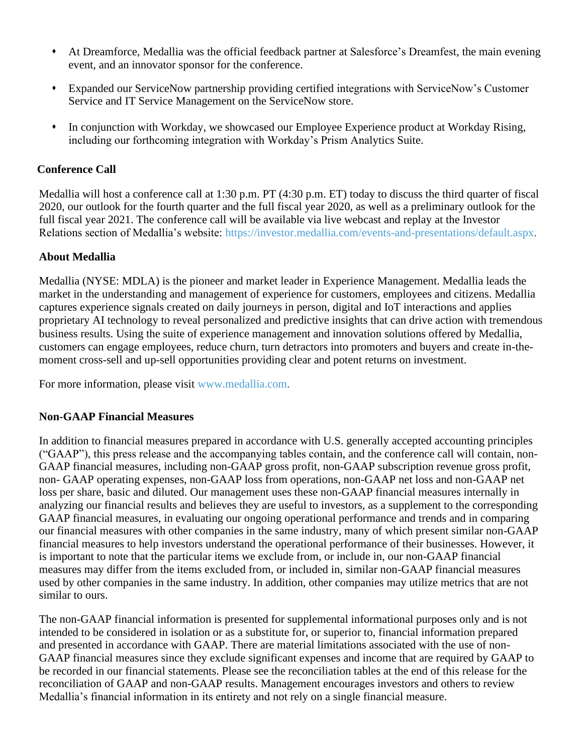- ⬧ At Dreamforce, Medallia was the official feedback partner at Salesforce's Dreamfest, the main evening event, and an innovator sponsor for the conference.
- ⬧ Expanded our ServiceNow partnership providing certified integrations with ServiceNow's Customer Service and IT Service Management on the ServiceNow store.
- ⬧ In conjunction with Workday, we showcased our Employee Experience product at Workday Rising, including our forthcoming integration with Workday's Prism Analytics Suite.

## **Conference Call**

Medallia will host a conference call at 1:30 p.m. PT (4:30 p.m. ET) today to discuss the third quarter of fiscal 2020, our outlook for the fourth quarter and the full fiscal year 2020, as well as a preliminary outlook for the full fiscal year 2021. The conference call will be available via live webcast and replay at the Investor Relations section of Medallia's website: https://investor.medallia.com/events-and-presentations/default.aspx.

## **About Medallia**

Medallia (NYSE: MDLA) is the pioneer and market leader in Experience Management. Medallia leads the market in the understanding and management of experience for customers, employees and citizens. Medallia captures experience signals created on daily journeys in person, digital and IoT interactions and applies proprietary AI technology to reveal personalized and predictive insights that can drive action with tremendous business results. Using the suite of experience management and innovation solutions offered by Medallia, customers can engage employees, reduce churn, turn detractors into promoters and buyers and create in-themoment cross-sell and up-sell opportunities providing clear and potent returns on investment.

For more information, please visit [www.medallia.com.](http://www.medallia.com/)

## **Non-GAAP Financial Measures**

In addition to financial measures prepared in accordance with U.S. generally accepted accounting principles ("GAAP"), this press release and the accompanying tables contain, and the conference call will contain, non-GAAP financial measures, including non-GAAP gross profit, non-GAAP subscription revenue gross profit, non- GAAP operating expenses, non-GAAP loss from operations, non-GAAP net loss and non-GAAP net loss per share, basic and diluted. Our management uses these non-GAAP financial measures internally in analyzing our financial results and believes they are useful to investors, as a supplement to the corresponding GAAP financial measures, in evaluating our ongoing operational performance and trends and in comparing our financial measures with other companies in the same industry, many of which present similar non-GAAP financial measures to help investors understand the operational performance of their businesses. However, it is important to note that the particular items we exclude from, or include in, our non-GAAP financial measures may differ from the items excluded from, or included in, similar non-GAAP financial measures used by other companies in the same industry. In addition, other companies may utilize metrics that are not similar to ours.

The non-GAAP financial information is presented for supplemental informational purposes only and is not intended to be considered in isolation or as a substitute for, or superior to, financial information prepared and presented in accordance with GAAP. There are material limitations associated with the use of non-GAAP financial measures since they exclude significant expenses and income that are required by GAAP to be recorded in our financial statements. Please see the reconciliation tables at the end of this release for the reconciliation of GAAP and non-GAAP results. Management encourages investors and others to review Medallia's financial information in its entirety and not rely on a single financial measure.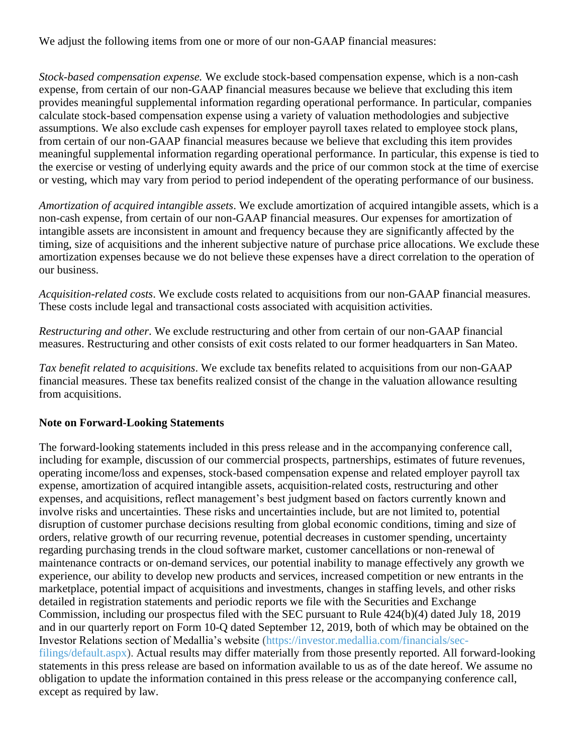We adjust the following items from one or more of our non-GAAP financial measures:

*Stock-based compensation expense.* We exclude stock-based compensation expense, which is a non-cash expense, from certain of our non-GAAP financial measures because we believe that excluding this item provides meaningful supplemental information regarding operational performance. In particular, companies calculate stock-based compensation expense using a variety of valuation methodologies and subjective assumptions. We also exclude cash expenses for employer payroll taxes related to employee stock plans, from certain of our non-GAAP financial measures because we believe that excluding this item provides meaningful supplemental information regarding operational performance. In particular, this expense is tied to the exercise or vesting of underlying equity awards and the price of our common stock at the time of exercise or vesting, which may vary from period to period independent of the operating performance of our business.

*Amortization of acquired intangible assets*. We exclude amortization of acquired intangible assets, which is a non-cash expense, from certain of our non-GAAP financial measures. Our expenses for amortization of intangible assets are inconsistent in amount and frequency because they are significantly affected by the timing, size of acquisitions and the inherent subjective nature of purchase price allocations. We exclude these amortization expenses because we do not believe these expenses have a direct correlation to the operation of our business.

*Acquisition-related costs*. We exclude costs related to acquisitions from our non-GAAP financial measures. These costs include legal and transactional costs associated with acquisition activities.

*Restructuring and other*. We exclude restructuring and other from certain of our non-GAAP financial measures. Restructuring and other consists of exit costs related to our former headquarters in San Mateo.

*Tax benefit related to acquisitions*. We exclude tax benefits related to acquisitions from our non-GAAP financial measures. These tax benefits realized consist of the change in the valuation allowance resulting from acquisitions.

## **Note on Forward-Looking Statements**

The forward-looking statements included in this press release and in the accompanying conference call, including for example, discussion of our commercial prospects, partnerships, estimates of future revenues, operating income/loss and expenses, stock-based compensation expense and related employer payroll tax expense, amortization of acquired intangible assets, acquisition-related costs, restructuring and other expenses, and acquisitions, reflect management's best judgment based on factors currently known and involve risks and uncertainties. These risks and uncertainties include, but are not limited to, potential disruption of customer purchase decisions resulting from global economic conditions, timing and size of orders, relative growth of our recurring revenue, potential decreases in customer spending, uncertainty regarding purchasing trends in the cloud software market, customer cancellations or non-renewal of maintenance contracts or on-demand services, our potential inability to manage effectively any growth we experience, our ability to develop new products and services, increased competition or new entrants in the marketplace, potential impact of acquisitions and investments, changes in staffing levels, and other risks detailed in registration statements and periodic reports we file with the Securities and Exchange Commission, including our prospectus filed with the SEC pursuant to Rule 424(b)(4) dated July 18, 2019 and in our quarterly report on Form 10-Q dated September 12, 2019, both of which may be obtained on the Investor Relations section of Medallia's website [\(https://investor.medallia.com/financials/sec](https://investor.medallia.com/financials/sec-filings/default.aspx)[filings/default.aspx\)](https://investor.medallia.com/financials/sec-filings/default.aspx). Actual results may differ materially from those presently reported. All forward-looking statements in this press release are based on information available to us as of the date hereof. We assume no obligation to update the information contained in this press release or the accompanying conference call, except as required by law.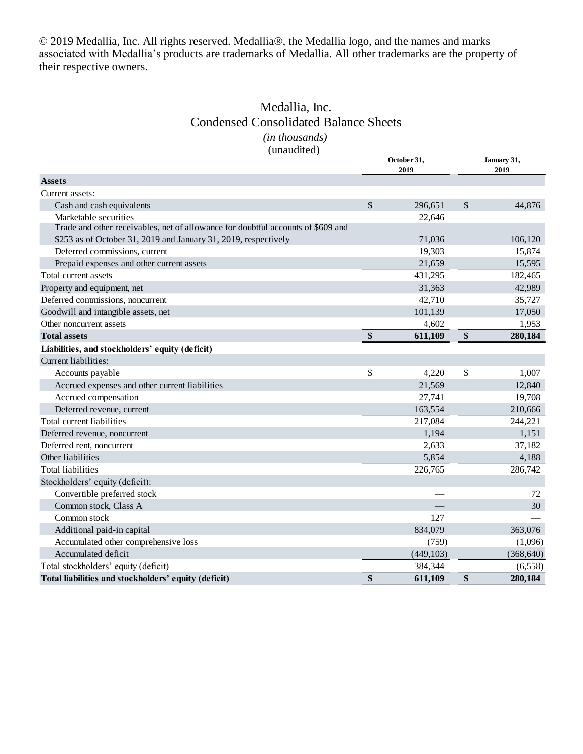© 2019 Medallia, Inc. All rights reserved. Medallia®, the Medallia logo, and the names and marks associated with Medallia's products are trademarks of Medallia. All other trademarks are the property of their respective owners.

# Medallia, Inc. Condensed Consolidated Balance Sheets

### *(in thousands)* (unaudited)

|                                                                                  | October 31,<br>2019 | January 31,<br>2019 |            |  |
|----------------------------------------------------------------------------------|---------------------|---------------------|------------|--|
| <b>Assets</b>                                                                    |                     |                     |            |  |
| Current assets:                                                                  |                     |                     |            |  |
| Cash and cash equivalents                                                        | \$<br>296,651       | \$                  | 44,876     |  |
| Marketable securities                                                            | 22,646              |                     |            |  |
| Trade and other receivables, net of allowance for doubtful accounts of \$609 and |                     |                     |            |  |
| \$253 as of October 31, 2019 and January 31, 2019, respectively                  | 71,036              |                     | 106,120    |  |
| Deferred commissions, current                                                    | 19,303              |                     | 15,874     |  |
| Prepaid expenses and other current assets                                        | 21,659              |                     | 15,595     |  |
| Total current assets                                                             | 431,295             |                     | 182,465    |  |
| Property and equipment, net                                                      | 31,363              |                     | 42,989     |  |
| Deferred commissions, noncurrent                                                 | 42,710              |                     | 35,727     |  |
| Goodwill and intangible assets, net                                              | 101,139             |                     | 17,050     |  |
| Other noncurrent assets                                                          | 4,602               |                     | 1,953      |  |
| <b>Total assets</b>                                                              | \$<br>611,109       | \$                  | 280,184    |  |
| Liabilities, and stockholders' equity (deficit)                                  |                     |                     |            |  |
| Current liabilities:                                                             |                     |                     |            |  |
| Accounts payable                                                                 | \$<br>4,220         | \$                  | 1,007      |  |
| Accrued expenses and other current liabilities                                   | 21,569              |                     | 12,840     |  |
| Accrued compensation                                                             | 27,741              |                     | 19,708     |  |
| Deferred revenue, current                                                        | 163,554             |                     | 210,666    |  |
| Total current liabilities                                                        | 217,084             |                     | 244,221    |  |
| Deferred revenue, noncurrent                                                     | 1,194               |                     | 1,151      |  |
| Deferred rent, noncurrent                                                        | 2,633               |                     | 37,182     |  |
| Other liabilities                                                                | 5,854               |                     | 4,188      |  |
| <b>Total liabilities</b>                                                         | 226,765             |                     | 286,742    |  |
| Stockholders' equity (deficit):                                                  |                     |                     |            |  |
| Convertible preferred stock                                                      |                     |                     | 72         |  |
| Common stock, Class A                                                            |                     |                     | 30         |  |
| Common stock                                                                     | 127                 |                     |            |  |
| Additional paid-in capital                                                       | 834,079             |                     | 363,076    |  |
| Accumulated other comprehensive loss                                             | (759)               |                     | (1,096)    |  |
| Accumulated deficit                                                              | (449, 103)          |                     | (368, 640) |  |
| Total stockholders' equity (deficit)                                             | 384,344             |                     | (6, 558)   |  |
| Total liabilities and stockholders' equity (deficit)                             | \$<br>611,109       | \$                  | 280,184    |  |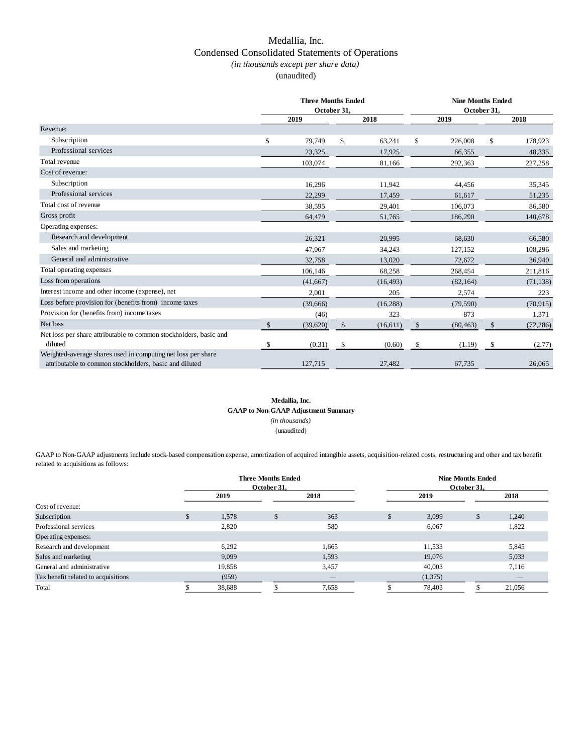## Medallia, Inc. Condensed Consolidated Statements of Operations *(in thousands except per share data)*

(unaudited)

|                                                                                                                        | <b>Three Months Ended</b><br>October 31, |          |              |           | <b>Nine Months Ended</b><br>October 31, |           |      |           |
|------------------------------------------------------------------------------------------------------------------------|------------------------------------------|----------|--------------|-----------|-----------------------------------------|-----------|------|-----------|
|                                                                                                                        | 2019<br>2018                             |          |              |           | 2019                                    |           | 2018 |           |
| Revenue:                                                                                                               |                                          |          |              |           |                                         |           |      |           |
| Subscription                                                                                                           | \$                                       | 79,749   | \$           | 63,241    | \$                                      | 226,008   | \$   | 178,923   |
| Professional services                                                                                                  |                                          | 23,325   |              | 17,925    |                                         | 66,355    |      | 48,335    |
| Total revenue                                                                                                          |                                          | 103,074  |              | 81,166    |                                         | 292,363   |      | 227,258   |
| Cost of revenue:                                                                                                       |                                          |          |              |           |                                         |           |      |           |
| Subscription                                                                                                           |                                          | 16,296   |              | 11,942    |                                         | 44,456    |      | 35,345    |
| Professional services                                                                                                  |                                          | 22,299   |              | 17,459    |                                         | 61,617    |      | 51,235    |
| Total cost of revenue                                                                                                  |                                          | 38,595   |              | 29,401    |                                         | 106,073   |      | 86,580    |
| Gross profit                                                                                                           |                                          | 64,479   |              | 51,765    |                                         | 186,290   |      | 140,678   |
| Operating expenses:                                                                                                    |                                          |          |              |           |                                         |           |      |           |
| Research and development                                                                                               |                                          | 26.321   |              | 20.995    |                                         | 68.630    |      | 66.580    |
| Sales and marketing                                                                                                    |                                          | 47.067   |              | 34,243    |                                         | 127,152   |      | 108,296   |
| General and administrative                                                                                             |                                          | 32,758   |              | 13,020    |                                         | 72,672    |      | 36,940    |
| Total operating expenses                                                                                               |                                          | 106,146  |              | 68,258    |                                         | 268,454   |      | 211,816   |
| Loss from operations                                                                                                   |                                          | (41,667) |              | (16, 493) |                                         | (82, 164) |      | (71, 138) |
| Interest income and other income (expense), net                                                                        |                                          | 2.001    |              | 205       |                                         | 2,574     |      | 223       |
| Loss before provision for (benefits from) income taxes                                                                 |                                          | (39,666) |              | (16, 288) |                                         | (79, 590) |      | (70, 915) |
| Provision for (benefits from) income taxes                                                                             |                                          | (46)     |              | 323       |                                         | 873       |      | 1,371     |
| Net loss                                                                                                               | $\mathsf{\$}$                            | (39,620) | $\mathbb{S}$ | (16, 611) | \$                                      | (80, 463) | \$   | (72, 286) |
| Net loss per share attributable to common stockholders, basic and<br>diluted                                           | \$                                       | (0.31)   | \$           | (0.60)    | \$                                      | (1.19)    | \$   | (2.77)    |
| Weighted-average shares used in computing net loss per share<br>attributable to common stockholders, basic and diluted |                                          | 127,715  |              | 27,482    |                                         | 67,735    |      | 26,065    |

### **Medallia, Inc.**

**GAAP to Non-GAAP Adjustment Summary**

*(in thousands)*

(unaudited)

GAAP to Non-GAAP adjustments include stock-based compensation expense, amortization of acquired intangible assets, acquisition-related costs, restructuring and other and tax benefit related to acquisitions as follows:

|                                     | <b>Three Months Ended</b><br>October 31. |     |                 | <b>Nine Months Ended</b><br>October 31, |         |    |                 |
|-------------------------------------|------------------------------------------|-----|-----------------|-----------------------------------------|---------|----|-----------------|
|                                     | 2019                                     |     | 2018            |                                         | 2019    |    | 2018            |
| Cost of revenue:                    |                                          |     |                 |                                         |         |    |                 |
| Subscription                        | \$<br>1,578                              | аħ. | 363             | \$                                      | 3,099   | \$ | 1,240           |
| Professional services               | 2,820                                    |     | 580             |                                         | 6,067   |    | 1,822           |
| Operating expenses:                 |                                          |     |                 |                                         |         |    |                 |
| Research and development            | 6,292                                    |     | 1,665           |                                         | 11,533  |    | 5,845           |
| Sales and marketing                 | 9,099                                    |     | 1,593           |                                         | 19,076  |    | 5,033           |
| General and administrative          | 19,858                                   |     | 3,457           |                                         | 40,003  |    | 7,116           |
| Tax benefit related to acquisitions | (959)                                    |     | $\qquad \qquad$ |                                         | (1,375) |    | $\qquad \qquad$ |
| Total                               | 38,688                                   |     | 7,658           |                                         | 78,403  | ۰. | 21,056          |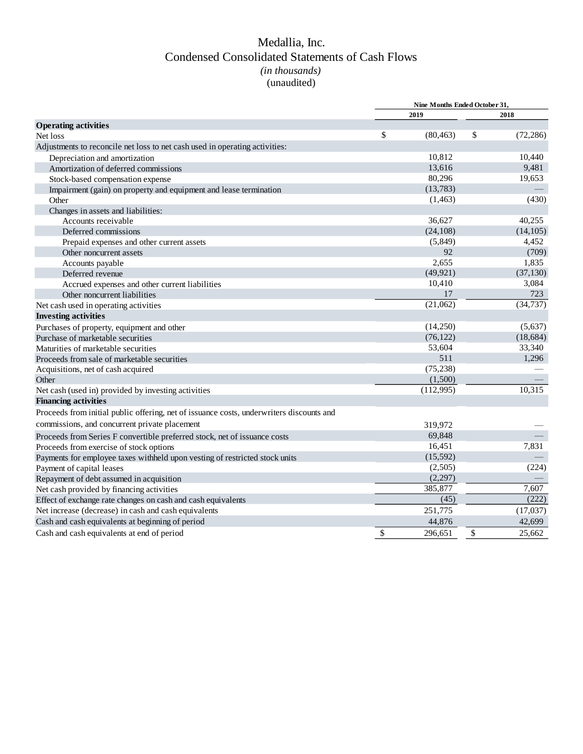## Medallia, Inc. (unaudited) *(in thousands)* Condensed Consolidated Statements of Cash Flows

|                                                                                          | Nine Months Ended October 31, |           |    |           |
|------------------------------------------------------------------------------------------|-------------------------------|-----------|----|-----------|
|                                                                                          |                               | 2019      |    | 2018      |
| <b>Operating activities</b>                                                              |                               |           |    |           |
| Net loss                                                                                 | \$                            | (80, 463) | \$ | (72, 286) |
| Adjustments to reconcile net loss to net cash used in operating activities:              |                               |           |    |           |
| Depreciation and amortization                                                            |                               | 10.812    |    | 10,440    |
| Amortization of deferred commissions                                                     |                               | 13,616    |    | 9,481     |
| Stock-based compensation expense                                                         |                               | 80,296    |    | 19,653    |
| Impairment (gain) on property and equipment and lease termination                        |                               | (13,783)  |    |           |
| Other                                                                                    |                               | (1, 463)  |    | (430)     |
| Changes in assets and liabilities:                                                       |                               |           |    |           |
| Accounts receivable                                                                      |                               | 36.627    |    | 40,255    |
| Deferred commissions                                                                     |                               | (24, 108) |    | (14, 105) |
| Prepaid expenses and other current assets                                                |                               | (5,849)   |    | 4,452     |
| Other noncurrent assets                                                                  |                               | 92        |    | (709)     |
| Accounts payable                                                                         |                               | 2,655     |    | 1,835     |
| Deferred revenue                                                                         |                               | (49, 921) |    | (37, 130) |
| Accrued expenses and other current liabilities                                           |                               | 10,410    |    | 3,084     |
| Other noncurrent liabilities                                                             |                               | 17        |    | 723       |
| Net cash used in operating activities                                                    |                               | (21,062)  |    | (34, 737) |
| <b>Investing activities</b>                                                              |                               |           |    |           |
| Purchases of property, equipment and other                                               |                               | (14,250)  |    | (5,637)   |
| Purchase of marketable securities                                                        |                               | (76, 122) |    | (18, 684) |
| Maturities of marketable securities                                                      |                               | 53,604    |    | 33,340    |
| Proceeds from sale of marketable securities                                              |                               | 511       |    | 1,296     |
| Acquisitions, net of cash acquired                                                       |                               | (75, 238) |    |           |
| Other                                                                                    |                               | (1,500)   |    |           |
| Net cash (used in) provided by investing activities                                      |                               | (112,995) |    | 10,315    |
| <b>Financing activities</b>                                                              |                               |           |    |           |
| Proceeds from initial public offering, net of issuance costs, underwriters discounts and |                               |           |    |           |
| commissions, and concurrent private placement                                            |                               | 319,972   |    |           |
| Proceeds from Series F convertible preferred stock, net of issuance costs                |                               | 69.848    |    |           |
| Proceeds from exercise of stock options                                                  |                               | 16,451    |    | 7,831     |
| Payments for employee taxes withheld upon vesting of restricted stock units              |                               | (15,592)  |    |           |
| Payment of capital leases                                                                |                               | (2,505)   |    | (224)     |
| Repayment of debt assumed in acquisition                                                 |                               | (2,297)   |    |           |
| Net cash provided by financing activities                                                |                               | 385,877   |    | 7,607     |
| Effect of exchange rate changes on cash and cash equivalents                             |                               | (45)      |    | (222)     |
| Net increase (decrease) in cash and cash equivalents                                     |                               | 251,775   |    | (17,037)  |
| Cash and cash equivalents at beginning of period                                         |                               | 44,876    |    | 42,699    |
| Cash and cash equivalents at end of period                                               | \$                            | 296,651   | \$ | 25,662    |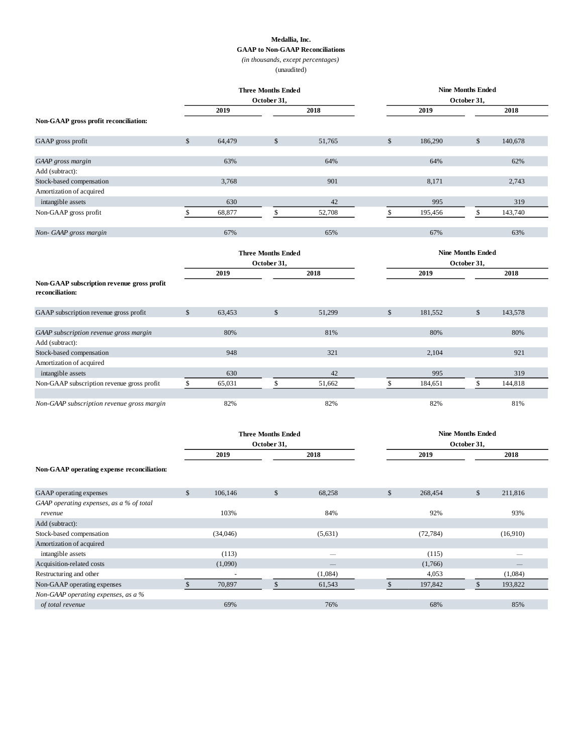#### **Medallia, Inc.**

**GAAP to Non-GAAP Reconciliations**

*(in thousands, except percentages)*

(unaudited)

| <b>Three Months Ended</b>                                     |              |                                          | <b>Nine Months Ended</b>  |                          |                                         |           |                          |          |  |  |
|---------------------------------------------------------------|--------------|------------------------------------------|---------------------------|--------------------------|-----------------------------------------|-----------|--------------------------|----------|--|--|
|                                                               |              |                                          | October 31,               |                          |                                         |           | October 31,              |          |  |  |
|                                                               |              | 2019                                     |                           | 2018                     |                                         | 2019      |                          | 2018     |  |  |
| Non-GAAP gross profit reconciliation:                         |              |                                          |                           |                          |                                         |           |                          |          |  |  |
| GAAP gross profit                                             | $\mathbb{S}$ | 64,479                                   | $\mathbb{S}$              | 51,765                   | \$                                      | 186,290   | \$                       | 140,678  |  |  |
| GAAP gross margin                                             |              | 63%                                      |                           | 64%                      |                                         | 64%       |                          | 62%      |  |  |
| Add (subtract):                                               |              |                                          |                           |                          |                                         |           |                          |          |  |  |
| Stock-based compensation                                      |              | 3,768                                    |                           | 901                      |                                         | 8,171     |                          | 2,743    |  |  |
| Amortization of acquired                                      |              |                                          |                           |                          |                                         |           |                          |          |  |  |
| intangible assets                                             |              | 630                                      |                           | 42                       |                                         | 995       |                          | 319      |  |  |
| Non-GAAP gross profit                                         | \$           | 68,877                                   | \$                        | 52,708                   | \$                                      | 195,456   | \$                       | 143,740  |  |  |
| Non-GAAP gross margin                                         |              | 67%                                      |                           | 65%                      |                                         | 67%       |                          | 63%      |  |  |
|                                                               |              |                                          | <b>Three Months Ended</b> |                          |                                         |           | <b>Nine Months Ended</b> |          |  |  |
|                                                               |              |                                          | October 31,               |                          |                                         |           | October 31,              |          |  |  |
|                                                               |              | 2019                                     |                           | 2018                     |                                         | 2019      |                          | 2018     |  |  |
| Non-GAAP subscription revenue gross profit<br>reconciliation: |              |                                          |                           |                          |                                         |           |                          |          |  |  |
| GAAP subscription revenue gross profit                        | $\mathbb{S}$ | 63,453                                   | $\mathbb{S}$              | 51,299                   | \$                                      | 181,552   | \$                       | 143,578  |  |  |
| GAAP subscription revenue gross margin                        |              | 80%                                      |                           | 81%                      |                                         | 80%       |                          | 80%      |  |  |
| Add (subtract):                                               |              |                                          |                           |                          |                                         |           |                          |          |  |  |
| Stock-based compensation                                      |              | 948                                      |                           | 321                      |                                         | 2,104     |                          | 921      |  |  |
| Amortization of acquired                                      |              |                                          |                           |                          |                                         |           |                          |          |  |  |
| intangible assets                                             |              | 630                                      |                           | 42                       |                                         | 995       |                          | 319      |  |  |
| Non-GAAP subscription revenue gross profit                    | \$           | 65,031                                   | \$                        | 51,662                   | \$                                      | 184,651   | \$                       | 144,818  |  |  |
| Non-GAAP subscription revenue gross margin                    |              | 82%                                      |                           | 82%                      |                                         | 82%       |                          | 81%      |  |  |
|                                                               |              | <b>Three Months Ended</b><br>October 31, |                           |                          | <b>Nine Months Ended</b><br>October 31, |           |                          |          |  |  |
|                                                               |              | 2019                                     |                           | 2018                     |                                         | 2019      |                          | 2018     |  |  |
| Non-GAAP operating expense reconciliation:                    |              |                                          |                           |                          |                                         |           |                          |          |  |  |
| GAAP operating expenses                                       | \$           | 106,146                                  | \$                        | 68,258                   | \$                                      | 268,454   | \$                       | 211,816  |  |  |
| GAAP operating expenses, as a % of total                      |              |                                          |                           |                          |                                         |           |                          |          |  |  |
| revenue                                                       |              | 103%                                     |                           | 84%                      |                                         | 92%       |                          | 93%      |  |  |
| Add (subtract):                                               |              |                                          |                           |                          |                                         |           |                          |          |  |  |
| Stock-based compensation                                      |              | (34,046)                                 |                           | (5,631)                  |                                         | (72, 784) |                          | (16,910) |  |  |
| Amortization of acquired                                      |              |                                          |                           |                          |                                         |           |                          |          |  |  |
| intangible assets                                             |              | (113)                                    |                           |                          |                                         | (115)     |                          |          |  |  |
| Acquisition-related costs                                     |              | (1,090)                                  |                           | $\overline{\phantom{0}}$ |                                         | (1,766)   |                          |          |  |  |
| Restructuring and other                                       |              | $\bar{a}$                                |                           | (1,084)                  |                                         | 4,053     |                          | (1,084)  |  |  |
| Non-GAAP operating expenses                                   | $\mathbb{S}$ | 70,897                                   | $\mathbb{S}$              | 61,543                   | $\mathbb{S}$                            | 197,842   | $\mathbb{S}$             | 193,822  |  |  |
| Non-GAAP operating expenses, as a %                           |              |                                          |                           |                          |                                         |           |                          |          |  |  |
| of total revenue                                              |              | 69%                                      |                           | 76%                      |                                         | 68%       |                          | 85%      |  |  |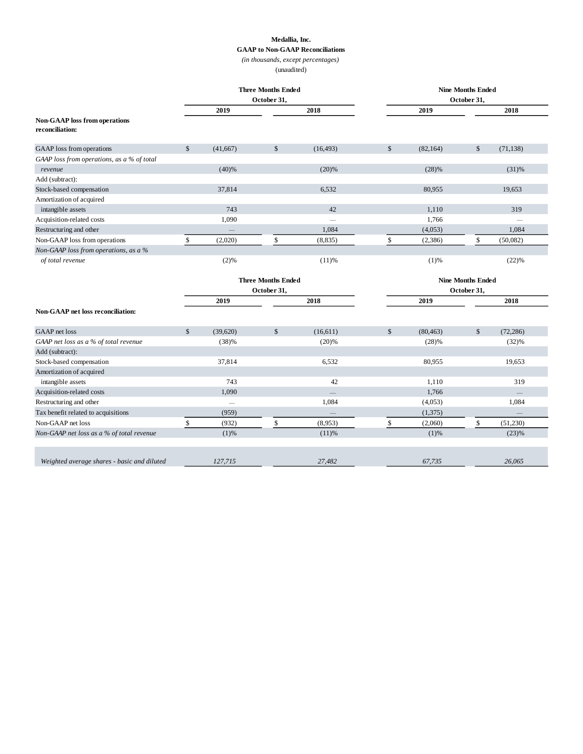#### **Medallia, Inc.**

**GAAP to Non-GAAP Reconciliations**

*(in thousands, except percentages)*

(unaudited)

|                                                         | <b>Three Months Ended</b> |          |                           | <b>Nine Months Ended</b> |               |           |                          |           |  |
|---------------------------------------------------------|---------------------------|----------|---------------------------|--------------------------|---------------|-----------|--------------------------|-----------|--|
|                                                         |                           |          | October 31,               |                          | October 31,   |           |                          |           |  |
|                                                         |                           | 2019     |                           | 2018                     |               | 2019      |                          | 2018      |  |
| <b>Non-GAAP</b> loss from operations<br>reconciliation: |                           |          |                           |                          |               |           |                          |           |  |
| GAAP loss from operations                               | $\mathbb{S}$              | (41,667) | $\mathbb{S}$              | (16, 493)                | $\mathbb{S}$  | (82, 164) | $\mathbb{S}$             | (71, 138) |  |
| GAAP loss from operations, as a % of total              |                           |          |                           |                          |               |           |                          |           |  |
| revenue                                                 |                           | (40)%    |                           | (20)%                    |               | (28)%     |                          | (31)%     |  |
| Add (subtract):                                         |                           |          |                           |                          |               |           |                          |           |  |
| Stock-based compensation                                |                           | 37,814   |                           | 6,532                    |               | 80,955    |                          | 19,653    |  |
| Amortization of acquired                                |                           |          |                           |                          |               |           |                          |           |  |
| intangible assets                                       |                           | 743      |                           | 42                       |               | 1,110     |                          | 319       |  |
| Acquisition-related costs                               |                           | 1,090    |                           |                          |               | 1,766     |                          |           |  |
| Restructuring and other                                 |                           |          |                           | 1,084                    |               | (4,053)   |                          | 1,084     |  |
| Non-GAAP loss from operations                           | \$                        | (2,020)  | \$                        | (8, 835)                 | \$            | (2,386)   | \$                       | (50,082)  |  |
| Non-GAAP loss from operations, as a %                   |                           |          |                           |                          |               |           |                          |           |  |
| of total revenue                                        |                           | (2)%     |                           | $(11)$ %                 |               | (1)%      |                          | (22)%     |  |
|                                                         |                           |          | <b>Three Months Ended</b> |                          |               |           | <b>Nine Months Ended</b> |           |  |
|                                                         | October 31,               |          |                           |                          |               |           | October 31,              |           |  |
|                                                         |                           | 2019     |                           | 2018                     | 2019          |           | 2018                     |           |  |
| Non-GAAP net loss reconciliation:                       |                           |          |                           |                          |               |           |                          |           |  |
| GAAP net loss                                           | $\mathcal{S}$             | (39,620) | \$                        | (16,611)                 | $\mathcal{S}$ | (80, 463) | \$                       | (72, 286) |  |
| GAAP net loss as a % of total revenue                   |                           | (38)%    |                           | (20)%                    |               | (28)%     |                          | (32)%     |  |
| Add (subtract):                                         |                           |          |                           |                          |               |           |                          |           |  |
| Stock-based compensation                                |                           | 37,814   |                           | 6,532                    |               | 80,955    |                          | 19,653    |  |
| Amortization of acquired                                |                           |          |                           |                          |               |           |                          |           |  |
| intangible assets                                       |                           | 743      |                           | 42                       |               | 1,110     |                          | 319       |  |
| Acquisition-related costs                               |                           | 1,090    |                           |                          |               | 1,766     |                          |           |  |
| Restructuring and other                                 |                           |          |                           | 1,084                    |               | (4,053)   |                          | 1,084     |  |
| Tax benefit related to acquisitions                     |                           | (959)    |                           |                          |               | (1,375)   |                          |           |  |
| Non-GAAP net loss                                       | \$                        | (932)    | \$                        | (8,953)                  | \$            | (2,060)   | \$                       | (51,230)  |  |
| Non-GAAP net loss as a % of total revenue               |                           | (1)%     |                           | $(11)$ %                 |               | (1)%      |                          | (23)%     |  |
|                                                         |                           |          |                           |                          |               |           |                          |           |  |
| Weighted average shares - basic and diluted             |                           | 127,715  |                           | 27,482                   |               | 67,735    |                          | 26,065    |  |